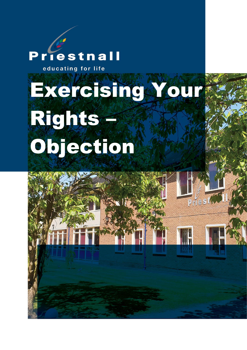# **Priestnall**

educating for life

# Exercising Your Rights – Objection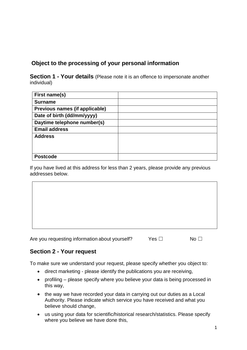# **Object to the processing of your personal information**

**Section 1 - Your details** (Please note it is an offence to impersonate another individual)

| First name(s)                  |  |
|--------------------------------|--|
| <b>Surname</b>                 |  |
| Previous names (if applicable) |  |
| Date of birth (dd/mm/yyyy)     |  |
| Daytime telephone number(s)    |  |
| <b>Email address</b>           |  |
| <b>Address</b>                 |  |
|                                |  |
|                                |  |
| <b>Postcode</b>                |  |

If you have lived at this address for less than 2 years, please provide any previous addresses below.

Are you requesting information about yourself? Yes □ No □

## **Section 2 - Your request**

To make sure we understand your request, please specify whether you object to:

- direct marketing please identify the publications you are receiving,
- profiling please specify where you believe your data is being processed in this way,
- the way we have recorded your data in carrying out our duties as a Local Authority. Please indicate which service you have received and what you believe should change,
- us using your data for scientific/historical research/statistics. Please specify where you believe we have done this,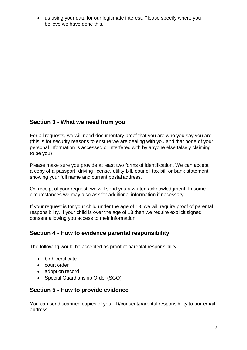• us using your data for our legitimate interest. Please specify where you believe we have done this.

## **Section 3 - What we need from you**

For all requests, we will need documentary proof that you are who you say you are (this is for security reasons to ensure we are dealing with you and that none of your personal information is accessed or interfered with by anyone else falsely claiming to be you)

Please make sure you provide at least two forms of identification. We can accept a copy of a passport, driving license, utility bill, council tax bill or bank statement showing your full name and current postal address.

On receipt of your request, we will send you a written acknowledgment. In some circumstances we may also ask for additional information if necessary.

If your request is for your child under the age of 13, we will require proof of parental responsibility. If your child is over the age of 13 then we require explicit signed consent allowing you access to their information.

# **Section 4 - How to evidence parental responsibility**

The following would be accepted as proof of parental responsibility;

- birth certificate
- court order
- adoption record
- Special Guardianship Order (SGO)

#### **Section 5 - How to provide evidence**

You can send scanned copies of your ID/consent/parental responsibility to our email address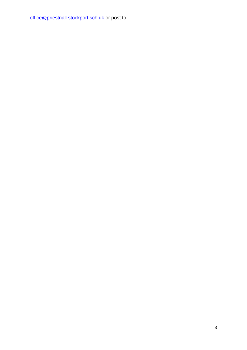[office@priestnall.stockport.sch.uk o](mailto:office@priestnall.stockport.sch.uk)r post to: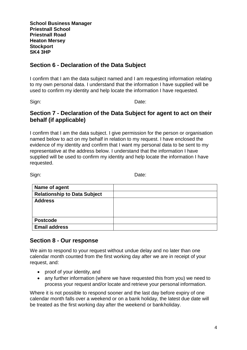**School Business Manager Priestnall School Priestnall Road Heaton Mersey Stockport SK4 3HP**

#### **Section 6 - Declaration of the Data Subject**

I confirm that I am the data subject named and I am requesting information relating to my own personal data. I understand that the information I have supplied will be used to confirm my identity and help locate the information I have requested.

Sign: **Date:** Date:

#### **Section 7 - Declaration of the Data Subject for agent to act on their behalf (if applicable)**

I confirm that I am the data subject. I give permission for the person or organisation named below to act on my behalf in relation to my request. I have enclosed the evidence of my identity and confirm that I want my personal data to be sent to my representative at the address below. I understand that the information I have supplied will be used to confirm my identity and help locate the information I have requested.

Sign: **Date:** Date:

| Name of agent                       |  |
|-------------------------------------|--|
| <b>Relationship to Data Subject</b> |  |
| <b>Address</b>                      |  |
|                                     |  |
|                                     |  |
| <b>Postcode</b>                     |  |
| <b>Email address</b>                |  |

#### **Section 8 - Our response**

We aim to respond to your request without undue delay and no later than one calendar month counted from the first working day after we are in receipt of your request, and:

- proof of your identity, and
- any further information (where we have requested this from you) we need to process your request and/or locate and retrieve your personal information.

Where it is not possible to respond sooner and the last day before expiry of one calendar month falls over a weekend or on a bank holiday, the latest due date will be treated as the first working day after the weekend or bankholiday.